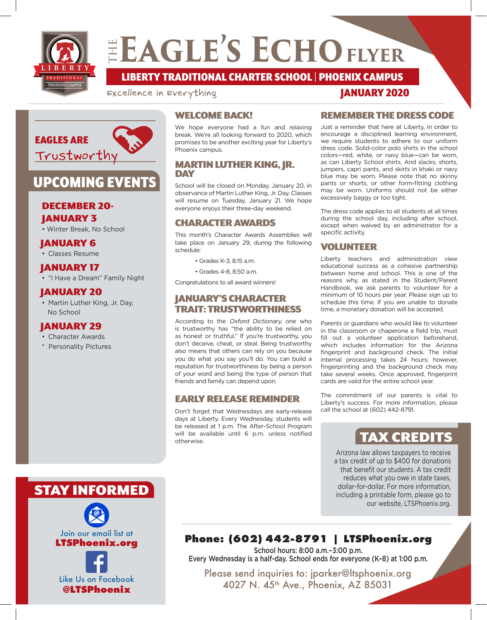

## ELAGLE'S ECHO FLYER

**TRADITIONAL LIBERTY** LIBERTY TRADITIONAL CHARTER SCHOOL | PHOENIX CAMPUS

Excellence in Everything



### UPCOMING EVENTS

### DECEMBER 20-

JANUARY 3

• Winter Break, No School

### JANUARY 6

• Classes Resume

### JANUARY 17

• "I Have a Dream" Family Night

### JANUARY 20

• Martin Luther King, Jr. Day, No School

### JANUARY 29

- Character Awards
- Personality Pictures

### WELCOME BACK!

We hope everyone had a fun and relaxing break. We're all looking forward to 2020, which promises to be another exciting year for Liberty's Phoenix campus.

### MARTIN LUTHER KING, JR. DAY

School will be closed on Monday, January 20, in observance of Martin Luther King, Jr. Day. Classes will resume on Tuesday, January 21. We hope everyone enjoys their three-day weekend.

### CHARACTER AWARDS

This month's Character Awards Assemblies will take place on January 29, during the following schedule:

- Grades K-3, 8:15 a.m.
- Grades 4-8, 8:50 a.m.

Congratulations to all award winners!

### JANUARY'S CHARACTER TRAIT: TRUSTWORTHINESS

According to the Oxford Dictionary, one who is trustworthy has "the ability to be relied on as honest or truthful." If you're trustworthy, you don't deceive, cheat, or steal. Being trustworthy also means that others can rely on you because you do what you say you'll do. You can build a reputation for trustworthiness by being a person of your word and being the type of person that friends and family can depend upon.

### EARLY RELEASE REMINDER

Don't forget that Wednesdays are early-release days at Liberty. Every Wednesday, students will be released at 1 p.m. The After-School Program will be available until 6 p.m. unless notified otherwise.

### REMEMBER THE DRESS CODE

JANUARY 2020

Just a reminder that here at Liberty, in order to encourage a disciplined learning environment, we require students to adhere to our uniform dress code. Solid-color polo shirts in the school colors—red, white, or navy blue—can be worn, as can Liberty School shirts. And slacks, shorts, jumpers, capri pants, and skirts in khaki or navy blue may be worn. Please note that no skinny pants or shorts, or other form-fitting clothing may be worn. Uniforms should not be either excessively baggy or too tight.

The dress code applies to all students at all times during the school day, including after school, except when waived by an administrator for a specific activity.

### VOLUNTEER

Liberty teachers and administration view educational success as a cohesive partnership between home and school. This is one of the reasons why, as stated in the Student/Parent Handbook, we ask parents to volunteer for a minimum of 10 hours per year. Please sign up to schedule this time. If you are unable to donate time, a monetary donation will be accepted.

Parents or guardians who would like to volunteer in the classroom or chaperone a field trip, must fill out a volunteer application beforehand, which includes information for the Arizona fingerprint and background check. The initial internal processing takes 24 hours; however, fingerprinting and the background check may take several weeks. Once approved, fingerprint cards are valid for the entire school year.

The commitment of our parents is vital to Liberty's success. For more information, please call the school at (602) 442-8791.

### TAX CREDITS

Arizona law allows taxpayers to receive a tax credit of up to \$400 for donations that benefit our students. A tax credit reduces what you owe in state taxes, dollar-for-dollar. For more information, including a printable form, please go to our website, LTSPhoenix.org.

### STAY INFORMED



**@LTSPhoenix**

### **Phone: (602) 442-8791 | LTSPhoenix.org**

School hours: 8:00 a.m.–3:00 p.m. Every Wednesday is a half-day. School ends for everyone (K–8) at 1:00 p.m.

Please send inquiries to: jparker@ltsphoenix.org 4027 N. 45th Ave., Phoenix, AZ 85031